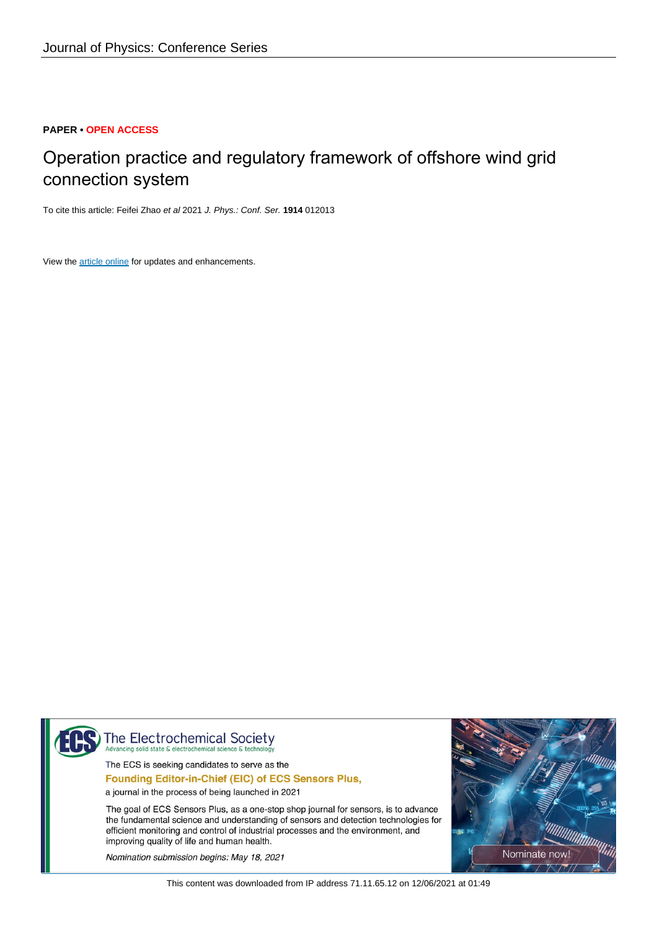### **PAPER • OPEN ACCESS**

# Operation practice and regulatory framework of offshore wind grid connection system

To cite this article: Feifei Zhao et al 2021 J. Phys.: Conf. Ser. **1914** 012013

View the [article online](https://doi.org/10.1088/1742-6596/1914/1/012013) for updates and enhancements.



The Electrochemical Society ting solid state & electroch

The ECS is seeking candidates to serve as the

Founding Editor-in-Chief (EIC) of ECS Sensors Plus,

a journal in the process of being launched in 2021

The goal of ECS Sensors Plus, as a one-stop shop journal for sensors, is to advance the fundamental science and understanding of sensors and detection technologies for efficient monitoring and control of industrial processes and the environment, and improving quality of life and human health.

Nomination submission begins: May 18, 2021



This content was downloaded from IP address 71.11.65.12 on 12/06/2021 at 01:49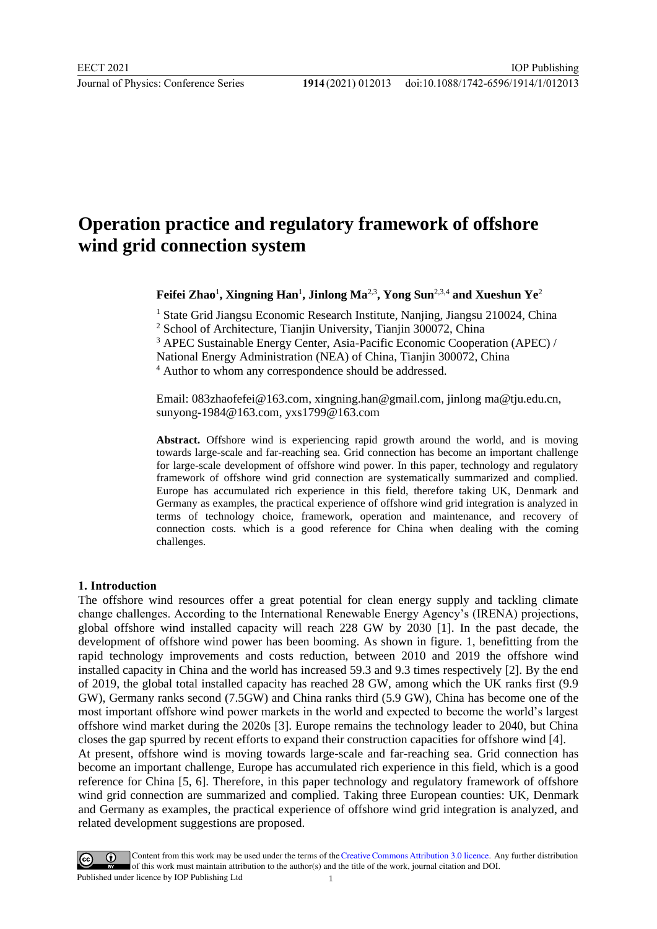# **Operation practice and regulatory framework of offshore wind grid connection system**

Feifei Zhao<sup>1</sup>, Xingning Han<sup>1</sup>, Jinlong Ma<sup>2,3</sup>, Yong Sun<sup>2,3,4</sup> and Xueshun Ye<sup>2</sup>

<sup>1</sup> State Grid Jiangsu Economic Research Institute, Nanjing, Jiangsu 210024, China <sup>2</sup> School of Architecture, Tianjin University, Tianjin 300072, China

<sup>3</sup> APEC Sustainable Energy Center, Asia-Pacific Economic Cooperation (APEC) /

National Energy Administration (NEA) of China, Tianjin 300072, China

<sup>4</sup> Author to whom any correspondence should be addressed.

Email: 083zhaofefei@163.com, xingning.han@gmail.com, jinlong ma@tju.edu.cn, sunyong-1984@163.com, yxs1799@163.com

**Abstract.** Offshore wind is experiencing rapid growth around the world, and is moving towards large-scale and far-reaching sea. Grid connection has become an important challenge for large-scale development of offshore wind power. In this paper, technology and regulatory framework of offshore wind grid connection are systematically summarized and complied. Europe has accumulated rich experience in this field, therefore taking UK, Denmark and Germany as examples, the practical experience of offshore wind grid integration is analyzed in terms of technology choice, framework, operation and maintenance, and recovery of connection costs. which is a good reference for China when dealing with the coming challenges.

#### **1. Introduction**

The offshore wind resources offer a great potential for clean energy supply and tackling climate change challenges. According to the International Renewable Energy Agency's (IRENA) projections, global offshore wind installed capacity will reach 228 GW by 2030 [1]. In the past decade, the development of offshore wind power has been booming. As shown in figure. 1, benefitting from the rapid technology improvements and costs reduction, between 2010 and 2019 the offshore wind installed capacity in China and the world has increased 59.3 and 9.3 times respectively [2]. By the end of 2019, the global total installed capacity has reached 28 GW, among which the UK ranks first (9.9 GW), Germany ranks second (7.5GW) and China ranks third (5.9 GW), China has become one of the most important offshore wind power markets in the world and expected to become the world's largest offshore wind market during the 2020s [3]. Europe remains the technology leader to 2040, but China closes the gap spurred by recent efforts to expand their construction capacities for offshore wind [4]. At present, offshore wind is moving towards large-scale and far-reaching sea. Grid connection has become an important challenge, Europe has accumulated rich experience in this field, which is a good reference for China [5, 6]. Therefore, in this paper technology and regulatory framework of offshore wind grid connection are summarized and complied. Taking three European counties: UK, Denmark and Germany as examples, the practical experience of offshore wind grid integration is analyzed, and related development suggestions are proposed.

Content from this work may be used under the terms of theCreative Commons Attribution 3.0 licence. Any further distribution of this work must maintain attribution to the author(s) and the title of the work, journal citation and DOI. Published under licence by IOP Publishing Ltd 1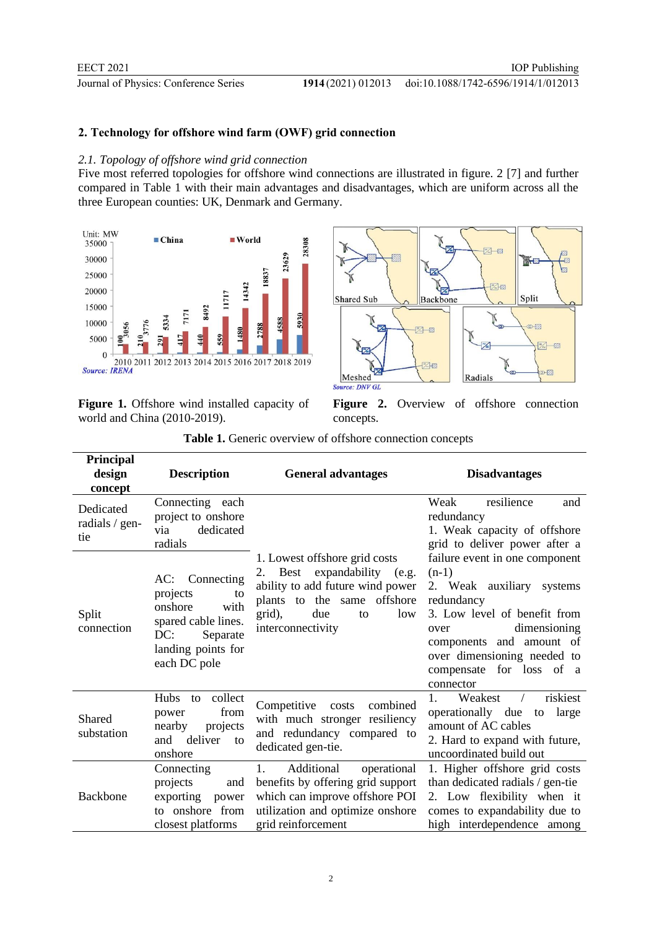## **2. Technology for offshore wind farm (OWF) grid connection**

#### *2.1. Topology of offshore wind grid connection*

Five most referred topologies for offshore wind connections are illustrated in figure. 2 [7] and further compared in Table 1 with their main advantages and disadvantages, which are uniform across all the three European counties: UK, Denmark and Germany.



**Figure 1.** Offshore wind installed capacity of world and China (2010-2019).



Figure 2. Overview of offshore connection concepts.

| Principal<br>design<br>concept     | <b>Description</b>                                                                                                                     | <b>General advantages</b>                                                                                                                                                          | <b>Disadvantages</b>                                                                                                                                                                                                                             |
|------------------------------------|----------------------------------------------------------------------------------------------------------------------------------------|------------------------------------------------------------------------------------------------------------------------------------------------------------------------------------|--------------------------------------------------------------------------------------------------------------------------------------------------------------------------------------------------------------------------------------------------|
| Dedicated<br>radials / gen-<br>tie | Connecting each<br>project to onshore<br>dedicated<br>via<br>radials                                                                   |                                                                                                                                                                                    | Weak<br>resilience<br>and<br>redundancy<br>1. Weak capacity of offshore<br>grid to deliver power after a                                                                                                                                         |
| Split<br>connection                | Connecting<br>AC:<br>projects<br>to<br>onshore<br>with<br>spared cable lines.<br>DC:<br>Separate<br>landing points for<br>each DC pole | 1. Lowest offshore grid costs<br>2. Best expandability (e.g.<br>ability to add future wind power<br>plants to the same offshore<br>grid),<br>low<br>due<br>to<br>interconnectivity | failure event in one component<br>$(n-1)$<br>2. Weak auxiliary systems<br>redundancy<br>3. Low level of benefit from<br>dimensioning<br>over<br>components and amount of<br>over dimensioning needed to<br>compensate for loss of a<br>connector |
| <b>Shared</b><br>substation        | Hubs<br>collect<br>to<br>from<br>power<br>nearby<br>projects<br>deliver<br>and<br>to<br>onshore                                        | Competitive<br>combined<br>costs<br>with much stronger resiliency<br>and redundancy compared to<br>dedicated gen-tie.                                                              | $1_{-}$<br>riskiest<br>Weakest<br>$\sqrt{2}$<br>operationally due to large<br>amount of AC cables<br>2. Hard to expand with future,<br>uncoordinated build out                                                                                   |
| Backbone                           | Connecting<br>projects<br>and<br>exporting power<br>to onshore from<br>closest platforms                                               | Additional<br>1.<br>operational<br>benefits by offering grid support<br>which can improve offshore POI<br>utilization and optimize onshore<br>grid reinforcement                   | 1. Higher offshore grid costs<br>than dedicated radials / gen-tie<br>2. Low flexibility when it<br>comes to expandability due to<br>high interdependence among                                                                                   |

**Table 1.** Generic overview of offshore connection concepts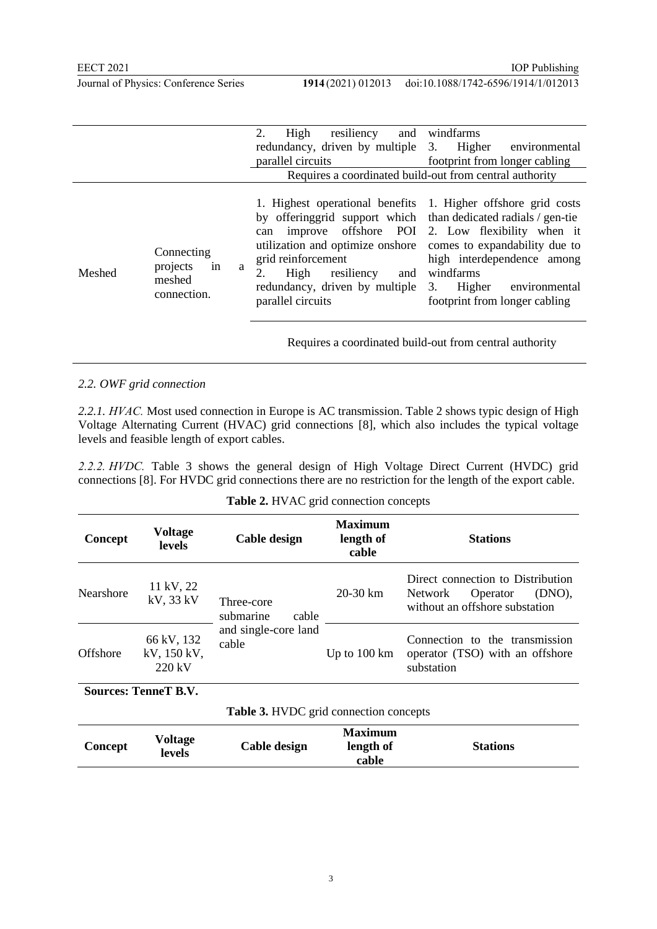|  | Journal of Physics: Conference Series |  |  |
|--|---------------------------------------|--|--|
|  |                                       |  |  |

|        |                                                            | 2.<br>High<br>resiliency<br>and                                                                                                                                                                                                                                                                                    | windfarms                                                                                                                                                    |  |  |
|--------|------------------------------------------------------------|--------------------------------------------------------------------------------------------------------------------------------------------------------------------------------------------------------------------------------------------------------------------------------------------------------------------|--------------------------------------------------------------------------------------------------------------------------------------------------------------|--|--|
|        |                                                            | redundancy, driven by multiple 3. Higher                                                                                                                                                                                                                                                                           | environmental                                                                                                                                                |  |  |
|        |                                                            | parallel circuits                                                                                                                                                                                                                                                                                                  | footprint from longer cabling                                                                                                                                |  |  |
|        |                                                            | Requires a coordinated build-out from central authority                                                                                                                                                                                                                                                            |                                                                                                                                                              |  |  |
| Meshed | Connecting<br>in<br>projects<br>a<br>meshed<br>connection. | 1. Highest operational benefits 1. Higher offshore grid costs<br>by offeringgrid support which than dedicated radials / gen-tie<br>can<br>utilization and optimize onshore comes to expandability due to<br>grid reinforcement<br>High<br>resiliency<br>and<br>redundancy, driven by multiple<br>parallel circuits | improve offshore POI 2. Low flexibility when it<br>high interdependence among<br>windfarms<br>Higher<br>3.<br>environmental<br>footprint from longer cabling |  |  |

Requires a coordinated build-out from central authority

#### *2.2. OWF grid connection*

*2.2.1. HVAC.* Most used connection in Europe is AC transmission. Table 2 shows typic design of High Voltage Alternating Current (HVAC) grid connections [8], which also includes the typical voltage levels and feasible length of export cables.

*2.2.2. HVDC.* Table 3 shows the general design of High Voltage Direct Current (HVDC) grid connections [8]. For HVDC grid connections there are no restriction for the length of the export cable.

|  |  | Table 2. HVAC grid connection concepts |
|--|--|----------------------------------------|
|--|--|----------------------------------------|

| Concept                                       | <b>Voltage</b><br>levels                      | Cable design                     | <b>Maximum</b><br>length of<br>cable | <b>Stations</b>                                                                                      |  |
|-----------------------------------------------|-----------------------------------------------|----------------------------------|--------------------------------------|------------------------------------------------------------------------------------------------------|--|
| Nearshore                                     | 11 kV, 22<br>$kV$ , 33 $kV$                   | Three-core<br>submarine<br>cable | 20-30 km                             | Direct connection to Distribution<br>(DNO),<br>Operator<br>Network<br>without an offshore substation |  |
| Offshore                                      | 66 kV, 132<br>kV, 150 kV,<br>$220 \text{ kV}$ | and single-core land<br>cable    | Up to $100 \mathrm{km}$              | Connection to the transmission<br>operator (TSO) with an offshore<br>substation                      |  |
| <b>Sources: TenneT B.V.</b>                   |                                               |                                  |                                      |                                                                                                      |  |
| <b>Table 3. HVDC</b> grid connection concepts |                                               |                                  |                                      |                                                                                                      |  |
| Concept                                       | Voltage<br>levels                             | Cable design                     | <b>Maximum</b><br>length of<br>cable | <b>Stations</b>                                                                                      |  |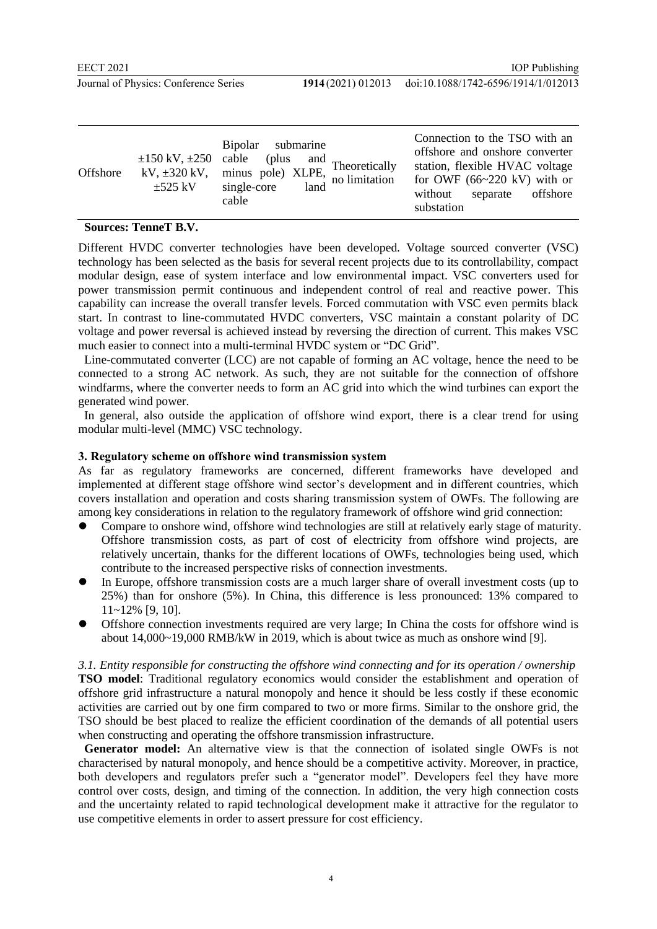| Offshore<br>kV, $\pm 320$ kV,<br>$\pm$ 525 kV | Bipolar submarine<br>$\pm 150$ kV, $\pm 250$ cable<br>(plus $\qquad$ and Theoretically<br>$\frac{1}{2}$ minus pole) XLPE, $\frac{1}{2}$ hectors and $\frac{1}{2}$ hand $\frac{1}{2}$ hand $\frac{1}{2}$ hand $\frac{1}{2}$ and $\frac{1}{2}$ hand $\frac{1}{2}$ hand $\frac{1}{2}$ hand $\frac{1}{2}$ hand $\frac{1}{2}$ hand $\frac{1}{2}$ hand $\frac{1}{2}$ hand $\frac{1}{2$<br>cable | Connection to the TSO with an<br>offshore and onshore converter<br>station, flexible HVAC voltage<br>for OWF $(66~220$ kV) with or<br>offshore<br>separate<br>without<br>substation |
|-----------------------------------------------|-------------------------------------------------------------------------------------------------------------------------------------------------------------------------------------------------------------------------------------------------------------------------------------------------------------------------------------------------------------------------------------------|-------------------------------------------------------------------------------------------------------------------------------------------------------------------------------------|
|-----------------------------------------------|-------------------------------------------------------------------------------------------------------------------------------------------------------------------------------------------------------------------------------------------------------------------------------------------------------------------------------------------------------------------------------------------|-------------------------------------------------------------------------------------------------------------------------------------------------------------------------------------|

### **Sources: TenneT B.V.**

Different HVDC converter technologies have been developed. Voltage sourced converter (VSC) technology has been selected as the basis for several recent projects due to its controllability, compact modular design, ease of system interface and low environmental impact. VSC converters used for power transmission permit continuous and independent control of real and reactive power. This capability can increase the overall transfer levels. Forced commutation with VSC even permits black start. In contrast to line-commutated HVDC converters, VSC maintain a constant polarity of DC voltage and power reversal is achieved instead by reversing the direction of current. This makes VSC much easier to connect into a multi-terminal HVDC system or "DC Grid".

 Line-commutated converter (LCC) are not capable of forming an AC voltage, hence the need to be connected to a strong AC network. As such, they are not suitable for the connection of offshore windfarms, where the converter needs to form an AC grid into which the wind turbines can export the generated wind power.

 In general, also outside the application of offshore wind export, there is a clear trend for using modular multi-level (MMC) VSC technology.

#### **3. Regulatory scheme on offshore wind transmission system**

As far as regulatory frameworks are concerned, different frameworks have developed and implemented at different stage offshore wind sector's development and in different countries, which covers installation and operation and costs sharing transmission system of OWFs. The following are among key considerations in relation to the regulatory framework of offshore wind grid connection:

- ⚫ Compare to onshore wind, offshore wind technologies are still at relatively early stage of maturity. Offshore transmission costs, as part of cost of electricity from offshore wind projects, are relatively uncertain, thanks for the different locations of OWFs, technologies being used, which contribute to the increased perspective risks of connection investments.
- ⚫ In Europe, offshore transmission costs are a much larger share of overall investment costs (up to 25%) than for onshore (5%). In China, this difference is less pronounced: 13% compared to 11~12% [9, 10].
- ⚫ Offshore connection investments required are very large; In China the costs for offshore wind is about 14,000~19,000 RMB/kW in 2019, which is about twice as much as onshore wind [9].

*3.1. Entity responsible for constructing the offshore wind connecting and for its operation / ownership* **TSO model**: Traditional regulatory economics would consider the establishment and operation of offshore grid infrastructure a natural monopoly and hence it should be less costly if these economic activities are carried out by one firm compared to two or more firms. Similar to the onshore grid, the TSO should be best placed to realize the efficient coordination of the demands of all potential users when constructing and operating the offshore transmission infrastructure.

 **Generator model:** An alternative view is that the connection of isolated single OWFs is not characterised by natural monopoly, and hence should be a competitive activity. Moreover, in practice, both developers and regulators prefer such a "generator model". Developers feel they have more control over costs, design, and timing of the connection. In addition, the very high connection costs and the uncertainty related to rapid technological development make it attractive for the regulator to use competitive elements in order to assert pressure for cost efficiency.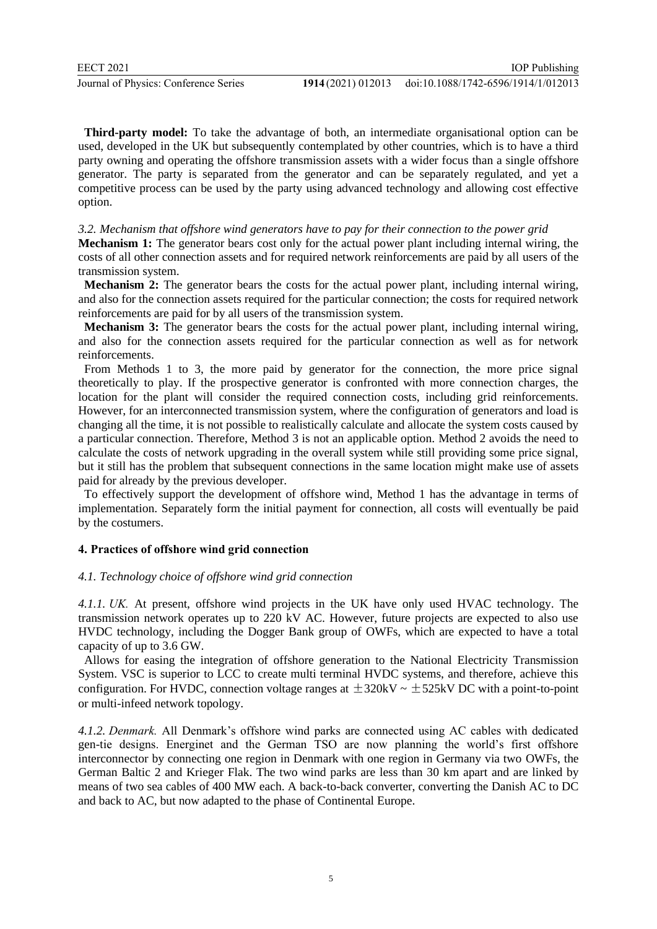**Third-party model:** To take the advantage of both, an intermediate organisational option can be used, developed in the UK but subsequently contemplated by other countries, which is to have a third party owning and operating the offshore transmission assets with a wider focus than a single offshore generator. The party is separated from the generator and can be separately regulated, and yet a competitive process can be used by the party using advanced technology and allowing cost effective option.

#### *3.2. Mechanism that offshore wind generators have to pay for their connection to the power grid*

**Mechanism 1:** The generator bears cost only for the actual power plant including internal wiring, the costs of all other connection assets and for required network reinforcements are paid by all users of the transmission system.

**Mechanism 2:** The generator bears the costs for the actual power plant, including internal wiring, and also for the connection assets required for the particular connection; the costs for required network reinforcements are paid for by all users of the transmission system.

 **Mechanism 3:** The generator bears the costs for the actual power plant, including internal wiring, and also for the connection assets required for the particular connection as well as for network reinforcements.

 From Methods 1 to 3, the more paid by generator for the connection, the more price signal theoretically to play. If the prospective generator is confronted with more connection charges, the location for the plant will consider the required connection costs, including grid reinforcements. However, for an interconnected transmission system, where the configuration of generators and load is changing all the time, it is not possible to realistically calculate and allocate the system costs caused by a particular connection. Therefore, Method 3 is not an applicable option. Method 2 avoids the need to calculate the costs of network upgrading in the overall system while still providing some price signal, but it still has the problem that subsequent connections in the same location might make use of assets paid for already by the previous developer.

 To effectively support the development of offshore wind, Method 1 has the advantage in terms of implementation. Separately form the initial payment for connection, all costs will eventually be paid by the costumers.

#### **4. Practices of offshore wind grid connection**

#### *4.1. Technology choice of offshore wind grid connection*

*4.1.1. UK.* At present, offshore wind projects in the UK have only used HVAC technology. The transmission network operates up to 220 kV AC. However, future projects are expected to also use HVDC technology, including the Dogger Bank group of OWFs, which are expected to have a total capacity of up to 3.6 GW.

 Allows for easing the integration of offshore generation to the National Electricity Transmission System. VSC is superior to LCC to create multi terminal HVDC systems, and therefore, achieve this configuration. For HVDC, connection voltage ranges at  $\pm$  320kV  $\sim$   $\pm$  525kV DC with a point-to-point or multi-infeed network topology.

*4.1.2. Denmark.* All Denmark's offshore wind parks are connected using AC cables with dedicated gen-tie designs. Energinet and the German TSO are now planning the world's first offshore interconnector by connecting one region in Denmark with one region in Germany via two OWFs, the German Baltic 2 and Krieger Flak. The two wind parks are less than 30 km apart and are linked by means of two sea cables of 400 MW each. A back-to-back converter, converting the Danish AC to DC and back to AC, but now adapted to the phase of Continental Europe.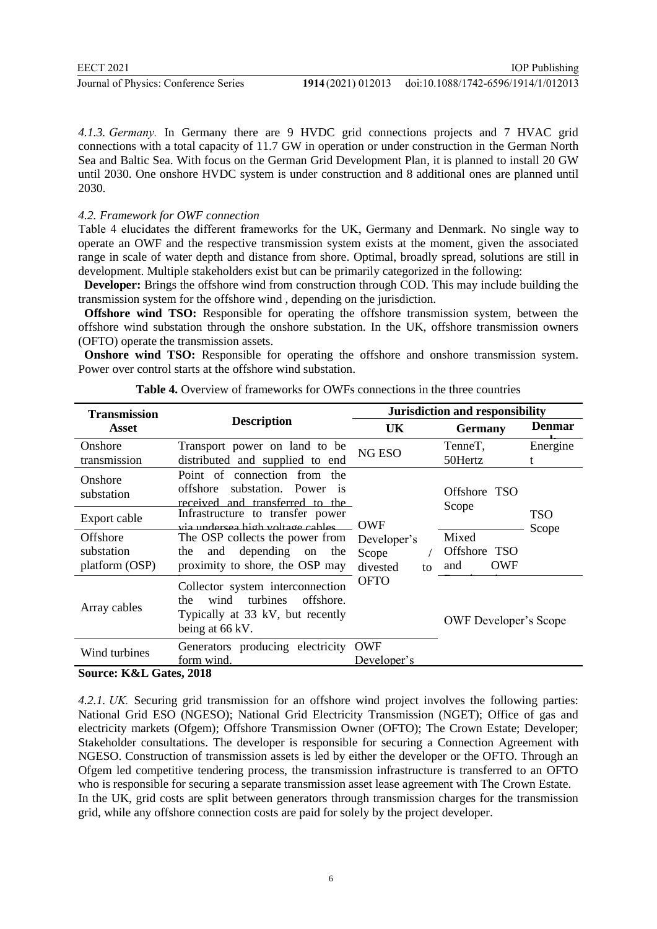EECT 2021

Journal of Physics: Conference Series **1914** (2021) 012013

*4.1.3. Germany.* In Germany there are 9 HVDC grid connections projects and 7 HVAC grid connections with a total capacity of 11.7 GW in operation or under construction in the German North Sea and Baltic Sea. With focus on the German Grid Development Plan, it is planned to install 20 GW until 2030. One onshore HVDC system is under construction and 8 additional ones are planned until 2030.

#### *4.2. Framework for OWF connection*

Table 4 elucidates the different frameworks for the UK, Germany and Denmark. No single way to operate an OWF and the respective transmission system exists at the moment, given the associated range in scale of water depth and distance from shore. Optimal, broadly spread, solutions are still in development. Multiple stakeholders exist but can be primarily categorized in the following:

 **Developer:** Brings the offshore wind from construction through COD. This may include building the transmission system for the offshore wind , depending on the jurisdiction.

 **Offshore wind TSO:** Responsible for operating the offshore transmission system, between the offshore wind substation through the onshore substation. In the UK, offshore transmission owners (OFTO) operate the transmission assets.

 **Onshore wind TSO:** Responsible for operating the offshore and onshore transmission system. Power over control starts at the offshore wind substation.

| <b>Transmission</b>             |                                                                                                                                                       | <b>Jurisdiction and responsibility</b> |                                   |               |
|---------------------------------|-------------------------------------------------------------------------------------------------------------------------------------------------------|----------------------------------------|-----------------------------------|---------------|
| Asset                           | <b>Description</b>                                                                                                                                    | <b>UK</b>                              | <b>Germany</b>                    | <b>Denmar</b> |
| Onshore<br>transmission         | Transport power on land to be<br>distributed and supplied to end                                                                                      | <b>NG ESO</b>                          | TenneT,<br>50Hertz                | Energine      |
| Onshore<br>substation           | Point of connection from the<br>substation. Power<br>offshore<br>$-1S$<br>received and transferred to the                                             |                                        | Offshore TSO<br>Scope             |               |
| Export cable<br><b>Offshore</b> | Infrastructure to transfer power<br>via undersea high voltage cables                                                                                  | <b>OWF</b>                             | Mixed                             | TSO<br>Scope  |
| substation<br>platform (OSP)    | The OSP collects the power from<br>depending<br>the<br>the<br>and<br>on<br>proximity to shore, the OSP may                                            | Developer's<br>Scope<br>divested<br>to | Offshore TSO<br><b>OWF</b><br>and |               |
| Array cables                    | <b>OFTO</b><br>Collector system interconnection<br><i>turbines</i><br>wind<br>offshore.<br>the<br>Typically at 33 kV, but recently<br>being at 66 kV. |                                        | <b>OWF</b> Developer's Scope      |               |
| Wind turbines                   | Generators producing electricity<br>form wind.                                                                                                        | OWF<br>Developer's                     |                                   |               |

**Table 4.** Overview of frameworks for OWFs connections in the three countries

**Source: K&L Gates**, 2018

*4.2.1. UK.* Securing grid transmission for an offshore wind project involves the following parties: National Grid ESO (NGESO); National Grid Electricity Transmission (NGET); Office of gas and electricity markets (Ofgem); Offshore Transmission Owner (OFTO); The Crown Estate; Developer; Stakeholder consultations. The developer is responsible for securing a Connection Agreement with NGESO. Construction of transmission assets is led by either the developer or the OFTO. Through an Ofgem led competitive tendering process, the transmission infrastructure is transferred to an OFTO who is responsible for securing a separate transmission asset lease agreement with The Crown Estate. In the UK, grid costs are split between generators through transmission charges for the transmission grid, while any offshore connection costs are paid for solely by the project developer.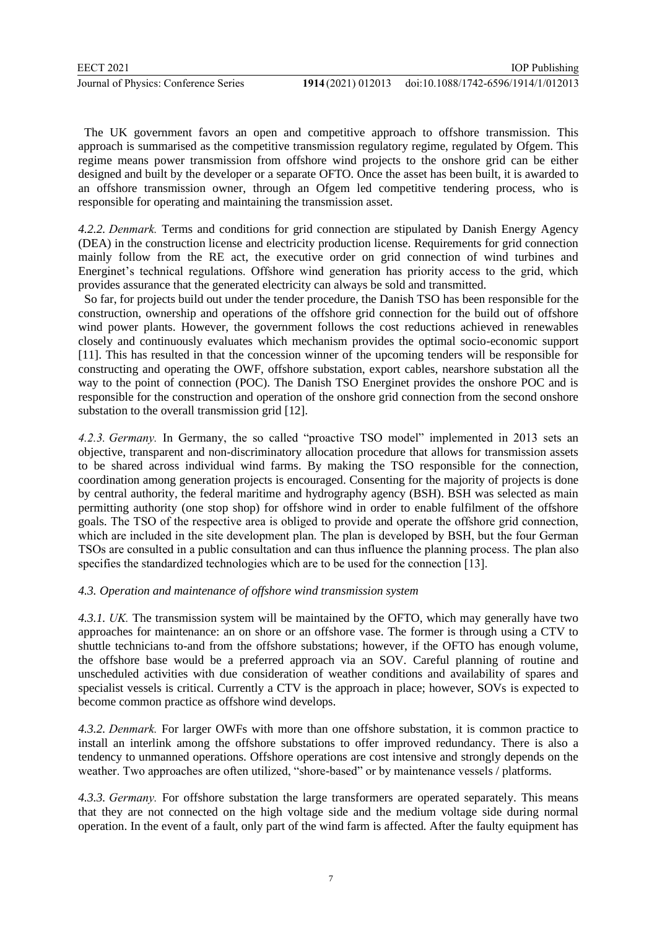The UK government favors an open and competitive approach to offshore transmission. This approach is summarised as the competitive transmission regulatory regime, regulated by Ofgem. This regime means power transmission from offshore wind projects to the onshore grid can be either designed and built by the developer or a separate OFTO. Once the asset has been built, it is awarded to an offshore transmission owner, through an Ofgem led competitive tendering process, who is responsible for operating and maintaining the transmission asset.

*4.2.2. Denmark.* Terms and conditions for grid connection are stipulated by Danish Energy Agency (DEA) in the construction license and electricity production license. Requirements for grid connection mainly follow from the RE act, the executive order on grid connection of wind turbines and Energinet's technical regulations. Offshore wind generation has priority access to the grid, which provides assurance that the generated electricity can always be sold and transmitted.

 So far, for projects build out under the tender procedure, the Danish TSO has been responsible for the construction, ownership and operations of the offshore grid connection for the build out of offshore wind power plants. However, the government follows the cost reductions achieved in renewables closely and continuously evaluates which mechanism provides the optimal socio-economic support [11]. This has resulted in that the concession winner of the upcoming tenders will be responsible for constructing and operating the OWF, offshore substation, export cables, nearshore substation all the way to the point of connection (POC). The Danish TSO Energinet provides the onshore POC and is responsible for the construction and operation of the onshore grid connection from the second onshore substation to the overall transmission grid [12].

*4.2.3. Germany.* In Germany, the so called "proactive TSO model" implemented in 2013 sets an objective, transparent and non-discriminatory allocation procedure that allows for transmission assets to be shared across individual wind farms. By making the TSO responsible for the connection, coordination among generation projects is encouraged. Consenting for the majority of projects is done by central authority, the federal maritime and hydrography agency (BSH). BSH was selected as main permitting authority (one stop shop) for offshore wind in order to enable fulfilment of the offshore goals. The TSO of the respective area is obliged to provide and operate the offshore grid connection, which are included in the site development plan. The plan is developed by BSH, but the four German TSOs are consulted in a public consultation and can thus influence the planning process. The plan also specifies the standardized technologies which are to be used for the connection [13].

# *4.3. Operation and maintenance of offshore wind transmission system*

*4.3.1. UK.* The transmission system will be maintained by the OFTO, which may generally have two approaches for maintenance: an on shore or an offshore vase. The former is through using a CTV to shuttle technicians to-and from the offshore substations; however, if the OFTO has enough volume, the offshore base would be a preferred approach via an SOV. Careful planning of routine and unscheduled activities with due consideration of weather conditions and availability of spares and specialist vessels is critical. Currently a CTV is the approach in place; however, SOVs is expected to become common practice as offshore wind develops.

*4.3.2. Denmark.* For larger OWFs with more than one offshore substation, it is common practice to install an interlink among the offshore substations to offer improved redundancy. There is also a tendency to unmanned operations. Offshore operations are cost intensive and strongly depends on the weather. Two approaches are often utilized, "shore-based" or by maintenance vessels / platforms.

*4.3.3. Germany.* For offshore substation the large transformers are operated separately. This means that they are not connected on the high voltage side and the medium voltage side during normal operation. In the event of a fault, only part of the wind farm is affected. After the faulty equipment has